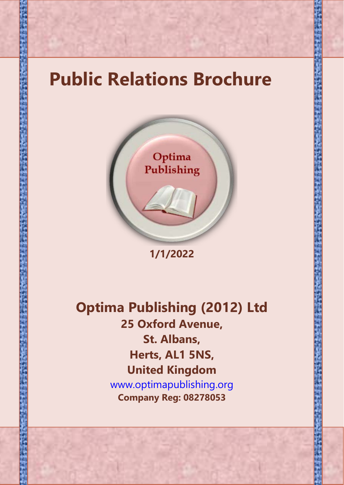



**1/1/2022**

**Optima Publishing (2012) Ltd 25 Oxford Avenue, St. Albans, Herts, AL1 5NS, United Kingdom** www.optimapublishing.org **Company Reg: 08278053**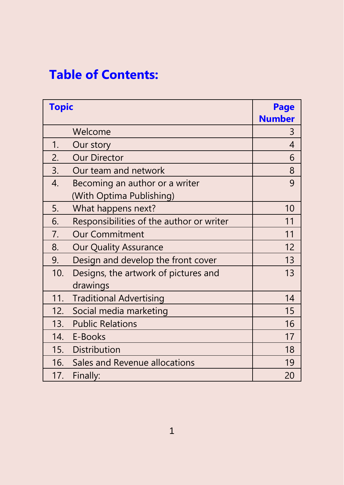# **Table of Contents:**

| <b>Topic</b> |                                                            | Page<br><b>Number</b> |
|--------------|------------------------------------------------------------|-----------------------|
|              | Welcome                                                    | 3                     |
| 1.           | Our story                                                  | 4                     |
| 2.           | <b>Our Director</b>                                        | 6                     |
| 3.           | Our team and network                                       | 8                     |
| 4.           | Becoming an author or a writer<br>(With Optima Publishing) | 9                     |
| 5.           | What happens next?                                         | 10                    |
| 6.           | Responsibilities of the author or writer                   | 11                    |
| 7.           | <b>Our Commitment</b>                                      | 11                    |
| 8.           | <b>Our Quality Assurance</b>                               | 12                    |
| 9.           | Design and develop the front cover                         | 13                    |
| 10.          | Designs, the artwork of pictures and<br>drawings           | 13                    |
| 11.          | <b>Traditional Advertising</b>                             | 14                    |
| 12.          | Social media marketing                                     | 15                    |
| 13.          | <b>Public Relations</b>                                    | 16                    |
| 14.          | E-Books                                                    | 17                    |
| 15.          | Distribution                                               | 18                    |
| 16.          | Sales and Revenue allocations                              | 19                    |
| 17.          | Finally:                                                   | 20                    |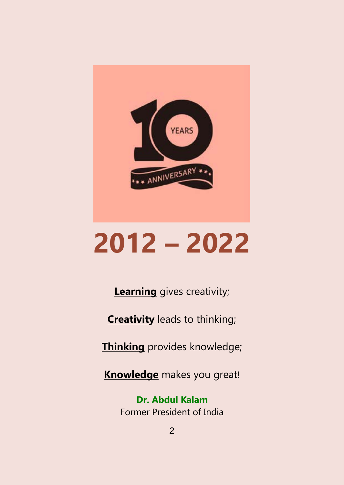

# **2012 – 2022**

**Learning** gives creativity;

**Creativity** leads to thinking;

**Thinking** provides knowledge;

**Knowledge** makes you great!

**Dr. Abdul Kalam** Former President of India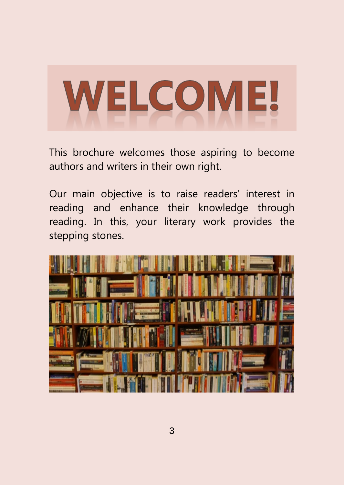# **WELCOME!**

This brochure welcomes those aspiring to become authors and writers in their own right.

Our main objective is to raise readers' interest in reading and enhance their knowledge through reading. In this, your literary work provides the stepping stones.

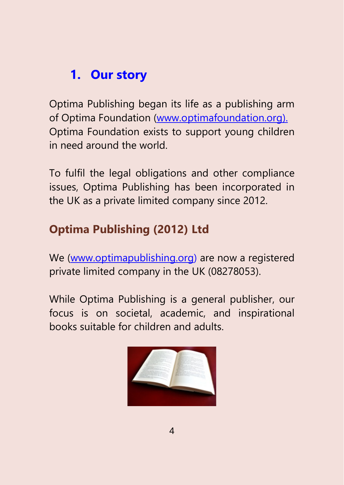# **1. Our story**

Optima Publishing began its life as a publishing arm of Optima Foundation [\(www.optimafoundation.org\)](http://www.optimafoundation.org/). Optima Foundation exists to support young children in need around the world.

To fulfil the legal obligations and other compliance issues, Optima Publishing has been incorporated in the UK as a private limited company since 2012.

#### **Optima Publishing (2012) Ltd**

We [\(www.optimapublishing.org\)](http://www.optimapublishing.org/) are now a registered private limited company in the UK (08278053).

While Optima Publishing is a general publisher, our focus is on societal, academic, and inspirational books suitable for children and adults.

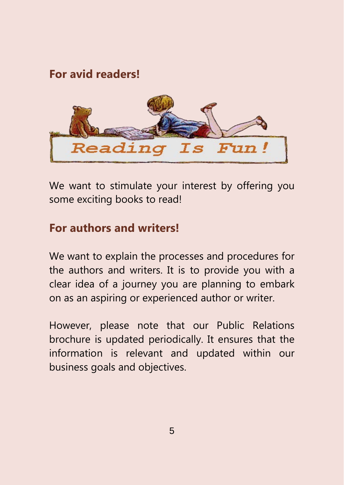#### **For avid readers!**



We want to stimulate your interest by offering you some exciting books to read!

#### **For authors and writers!**

We want to explain the processes and procedures for the authors and writers. It is to provide you with a clear idea of a journey you are planning to embark on as an aspiring or experienced author or writer.

However, please note that our Public Relations brochure is updated periodically. It ensures that the information is relevant and updated within our business goals and objectives.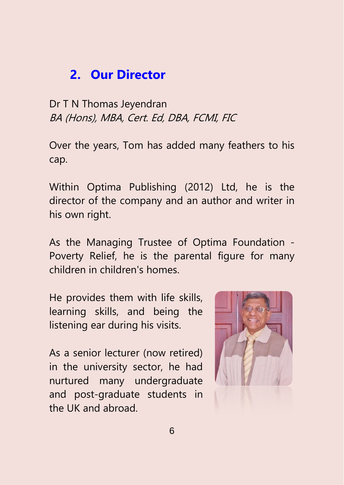#### **2. Our Director**

Dr T N Thomas Jeyendran BA (Hons), MBA, Cert. Ed, DBA, FCMI, FIC

Over the years, Tom has added many feathers to his cap.

Within Optima Publishing (2012) Ltd, he is the director of the company and an author and writer in his own right.

As the Managing Trustee of Optima Foundation - Poverty Relief, he is the parental figure for many children in children's homes.

He provides them with life skills, learning skills, and being the listening ear during his visits.

As a senior lecturer (now retired) in the university sector, he had nurtured many undergraduate and post-graduate students in the UK and abroad.

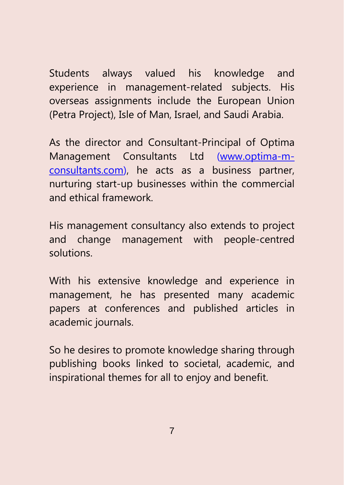Students always valued his knowledge and experience in management-related subjects. His overseas assignments include the European Union (Petra Project), Isle of Man, Israel, and Saudi Arabia.

As the director and Consultant-Principal of Optima Management Consultants Ltd [\(www.optima-m](http://www.optima-m-consultants.com/)[consultants.com\)](http://www.optima-m-consultants.com/), he acts as a business partner, nurturing start-up businesses within the commercial and ethical framework.

His management consultancy also extends to project and change management with people-centred solutions.

With his extensive knowledge and experience in management, he has presented many academic papers at conferences and published articles in academic journals.

So he desires to promote knowledge sharing through publishing books linked to societal, academic, and inspirational themes for all to enjoy and benefit.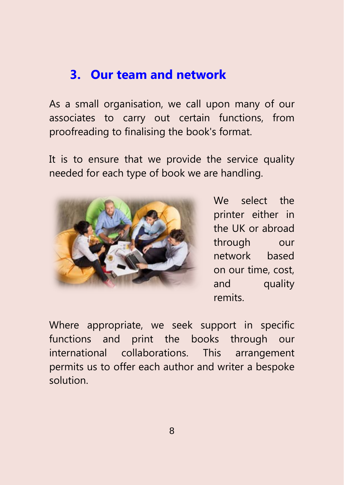#### **3. Our team and network**

As a small organisation, we call upon many of our associates to carry out certain functions, from proofreading to finalising the book's format.

It is to ensure that we provide the service quality needed for each type of book we are handling.



We select the printer either in the UK or abroad through our network based on our time, cost, and quality remits.

Where appropriate, we seek support in specific functions and print the books through our international collaborations. This arrangement permits us to offer each author and writer a bespoke solution.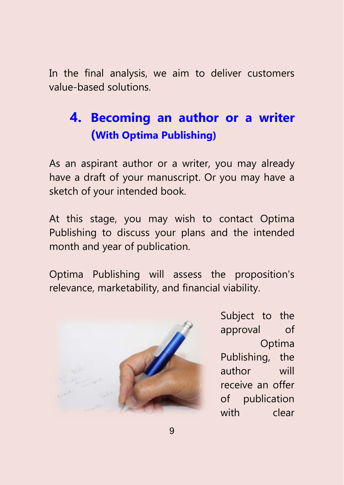In the final analysis, we aim to deliver customers value-based solutions.

# **4. Becoming an author or a writer (With Optima Publishing)**

As an aspirant author or a writer, you may already have a draft of your manuscript. Or you may have a sketch of your intended book.

At this stage, you may wish to contact Optima Publishing to discuss your plans and the intended month and year of publication.

Optima Publishing will assess the proposition's relevance, marketability, and financial viability.



Subject to the approval of Optima Publishing, the author will receive an offer of publication with clear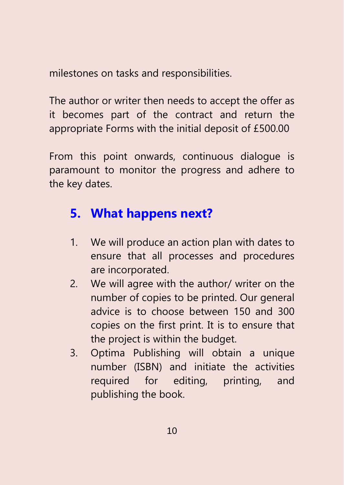milestones on tasks and responsibilities.

The author or writer then needs to accept the offer as it becomes part of the contract and return the appropriate Forms with the initial deposit of £500.00

From this point onwards, continuous dialogue is paramount to monitor the progress and adhere to the key dates.

#### **5. What happens next?**

- 1. We will produce an action plan with dates to ensure that all processes and procedures are incorporated.
- 2. We will agree with the author/ writer on the number of copies to be printed. Our general advice is to choose between 150 and 300 copies on the first print. It is to ensure that the project is within the budget.
- 3. Optima Publishing will obtain a unique number (ISBN) and initiate the activities required for editing, printing, and publishing the book.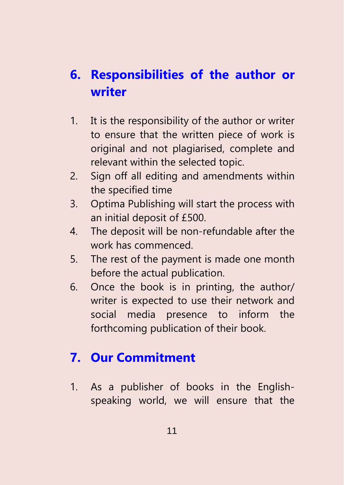# **6. Responsibilities of the author or writer**

- 1. It is the responsibility of the author or writer to ensure that the written piece of work is original and not plagiarised, complete and relevant within the selected topic.
- 2. Sign off all editing and amendments within the specified time
- 3. Optima Publishing will start the process with an initial deposit of £500.
- 4. The deposit will be non-refundable after the work has commenced.
- 5. The rest of the payment is made one month before the actual publication.
- 6. Once the book is in printing, the author/ writer is expected to use their network and social media presence to inform the forthcoming publication of their book.

## **7. Our Commitment**

1. As a publisher of books in the Englishspeaking world, we will ensure that the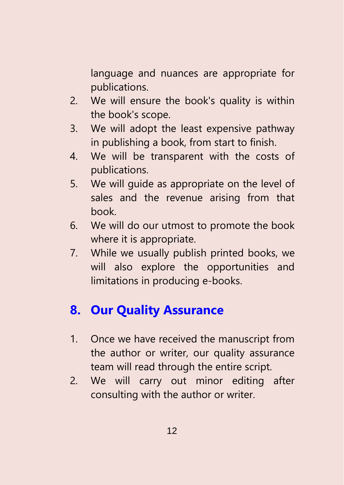language and nuances are appropriate for publications.

- 2. We will ensure the book's quality is within the book's scope.
- 3. We will adopt the least expensive pathway in publishing a book, from start to finish.
- 4. We will be transparent with the costs of publications.
- 5. We will guide as appropriate on the level of sales and the revenue arising from that book.
- 6. We will do our utmost to promote the book where it is appropriate.
- 7. While we usually publish printed books, we will also explore the opportunities and limitations in producing e-books.

## **8. Our Quality Assurance**

- 1. Once we have received the manuscript from the author or writer, our quality assurance team will read through the entire script.
- 2. We will carry out minor editing after consulting with the author or writer.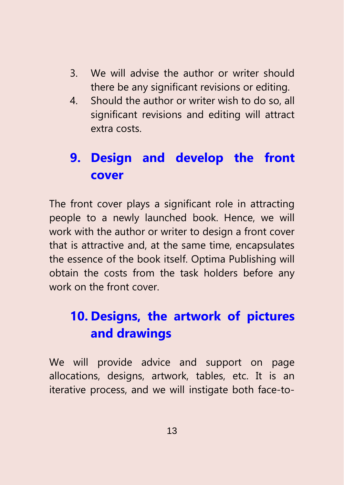- 3. We will advise the author or writer should there be any significant revisions or editing.
- 4. Should the author or writer wish to do so, all significant revisions and editing will attract extra costs.

# **9. Design and develop the front cover**

The front cover plays a significant role in attracting people to a newly launched book. Hence, we will work with the author or writer to design a front cover that is attractive and, at the same time, encapsulates the essence of the book itself. Optima Publishing will obtain the costs from the task holders before any work on the front cover.

# **10. Designs, the artwork of pictures and drawings**

We will provide advice and support on page allocations, designs, artwork, tables, etc. It is an iterative process, and we will instigate both face-to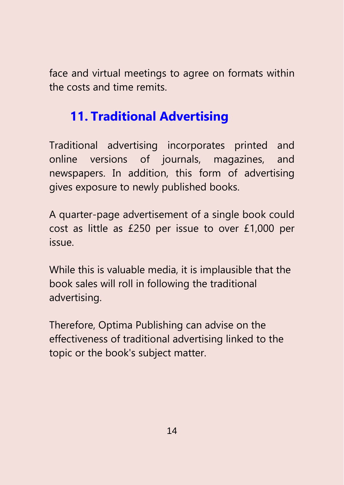face and virtual meetings to agree on formats within the costs and time remits.

#### **11. Traditional Advertising**

Traditional advertising incorporates printed and online versions of journals, magazines, and newspapers. In addition, this form of advertising gives exposure to newly published books.

A quarter-page advertisement of a single book could cost as little as £250 per issue to over £1,000 per issue.

While this is valuable media, it is implausible that the book sales will roll in following the traditional advertising.

Therefore, Optima Publishing can advise on the effectiveness of traditional advertising linked to the topic or the book's subject matter.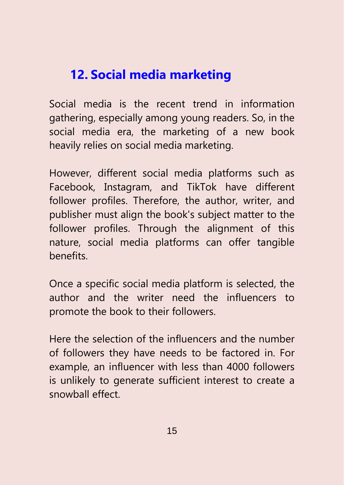#### **12. Social media marketing**

Social media is the recent trend in information gathering, especially among young readers. So, in the social media era, the marketing of a new book heavily relies on social media marketing.

However, different social media platforms such as Facebook, Instagram, and TikTok have different follower profiles. Therefore, the author, writer, and publisher must align the book's subject matter to the follower profiles. Through the alignment of this nature, social media platforms can offer tangible benefits.

Once a specific social media platform is selected, the author and the writer need the influencers to promote the book to their followers.

Here the selection of the influencers and the number of followers they have needs to be factored in. For example, an influencer with less than 4000 followers is unlikely to generate sufficient interest to create a snowball effect.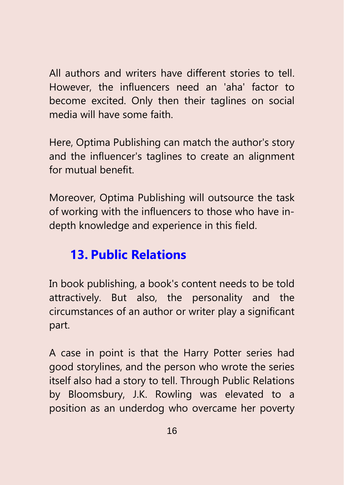All authors and writers have different stories to tell. However, the influencers need an 'aha' factor to become excited. Only then their taglines on social media will have some faith.

Here, Optima Publishing can match the author's story and the influencer's taglines to create an alignment for mutual benefit.

Moreover, Optima Publishing will outsource the task of working with the influencers to those who have indepth knowledge and experience in this field.

#### **13. Public Relations**

In book publishing, a book's content needs to be told attractively. But also, the personality and the circumstances of an author or writer play a significant part.

A case in point is that the Harry Potter series had good storylines, and the person who wrote the series itself also had a story to tell. Through Public Relations by Bloomsbury, J.K. Rowling was elevated to a position as an underdog who overcame her poverty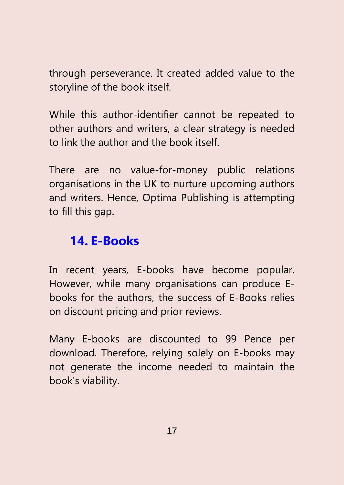through perseverance. It created added value to the storyline of the book itself.

While this author-identifier cannot be repeated to other authors and writers, a clear strategy is needed to link the author and the book itself.

There are no value-for-money public relations organisations in the UK to nurture upcoming authors and writers. Hence, Optima Publishing is attempting to fill this gap.

#### **14. E-Books**

In recent years, E-books have become popular. However, while many organisations can produce Ebooks for the authors, the success of E-Books relies on discount pricing and prior reviews.

Many E-books are discounted to 99 Pence per download. Therefore, relying solely on E-books may not generate the income needed to maintain the book's viability.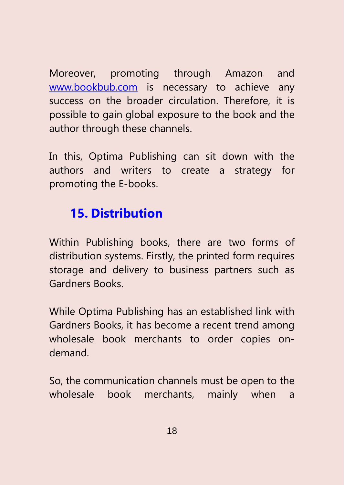Moreover, promoting through Amazon and [www.bookbub.com](http://www.bookbub.com/) is necessary to achieve any success on the broader circulation. Therefore, it is possible to gain global exposure to the book and the author through these channels.

In this, Optima Publishing can sit down with the authors and writers to create a strategy for promoting the E-books.

#### **15. Distribution**

Within Publishing books, there are two forms of distribution systems. Firstly, the printed form requires storage and delivery to business partners such as Gardners Books.

While Optima Publishing has an established link with Gardners Books, it has become a recent trend among wholesale book merchants to order copies ondemand.

So, the communication channels must be open to the wholesale book merchants, mainly when a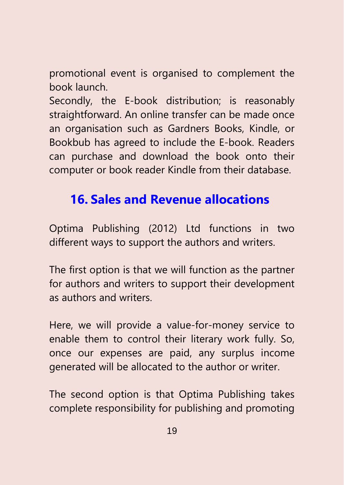promotional event is organised to complement the book launch.

Secondly, the E-book distribution; is reasonably straightforward. An online transfer can be made once an organisation such as Gardners Books, Kindle, or Bookbub has agreed to include the E-book. Readers can purchase and download the book onto their computer or book reader Kindle from their database.

#### **16. Sales and Revenue allocations**

Optima Publishing (2012) Ltd functions in two different ways to support the authors and writers.

The first option is that we will function as the partner for authors and writers to support their development as authors and writers.

Here, we will provide a value-for-money service to enable them to control their literary work fully. So, once our expenses are paid, any surplus income generated will be allocated to the author or writer.

The second option is that Optima Publishing takes complete responsibility for publishing and promoting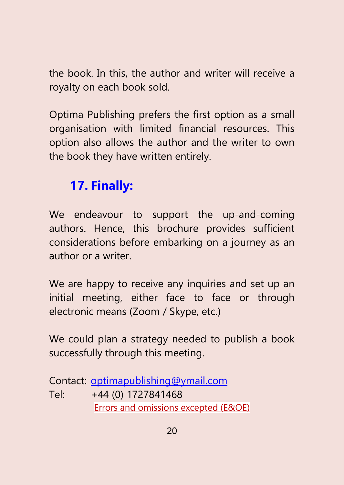the book. In this, the author and writer will receive a royalty on each book sold.

Optima Publishing prefers the first option as a small organisation with limited financial resources. This option also allows the author and the writer to own the book they have written entirely.

#### **17. Finally:**

We endeavour to support the up-and-coming authors. Hence, this brochure provides sufficient considerations before embarking on a journey as an author or a writer.

We are happy to receive any inquiries and set up an initial meeting, either face to face or through electronic means (Zoom / Skype, etc.)

We could plan a strategy needed to publish a book successfully through this meeting.

Contact: [optimapublishing@ymail.com](mailto:optimapublishing@ymail.com) Tel: +44 (0) 1727841468 Errors and omissions excepted (E&OE)